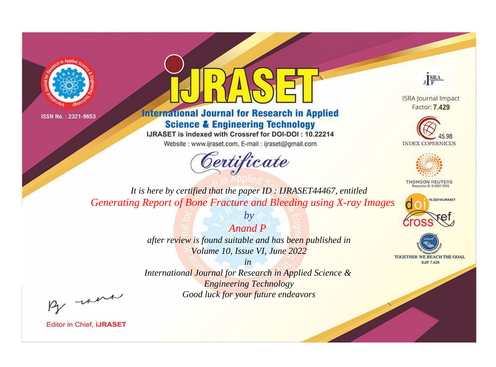



## **International Journal for Research in Applied Science & Engineering Technology**

IJRASET is indexed with Crossref for DOI-DOI: 10.22214

Website: www.ijraset.com, E-mail: ijraset@gmail.com





**ISRA Journal Impact** Factor: 7.429





**THOMSON REUTERS** 



TOGETHER WE REACH THE GOAL **SJIF 7.429** 

*It is here by certified that the paper ID : IJRASET44467, entitled Generating Report of Bone Fracture and Bleeding using X-ray Images*

> *Anand P after review is found suitable and has been published in Volume 10, Issue VI, June 2022*

*by*

*in* 

*International Journal for Research in Applied Science & Engineering Technology Good luck for your future endeavors*

By morn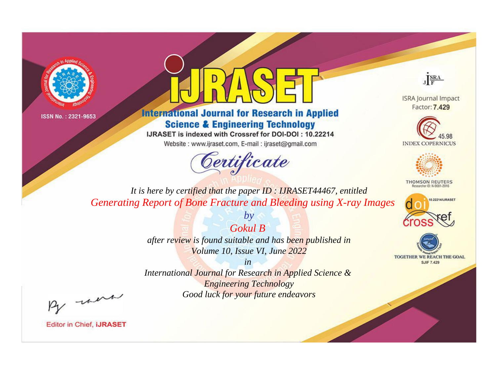



## **International Journal for Research in Applied Science & Engineering Technology**

IJRASET is indexed with Crossref for DOI-DOI: 10.22214

Website: www.ijraset.com, E-mail: ijraset@gmail.com





**ISRA Journal Impact** Factor: 7.429





**THOMSON REUTERS** 



TOGETHER WE REACH THE GOAL **SJIF 7.429** 

*It is here by certified that the paper ID : IJRASET44467, entitled Generating Report of Bone Fracture and Bleeding using X-ray Images*

> *by Gokul B*

*after review is found suitable and has been published in Volume 10, Issue VI, June 2022*

*in* 

*International Journal for Research in Applied Science & Engineering Technology Good luck for your future endeavors*

By morn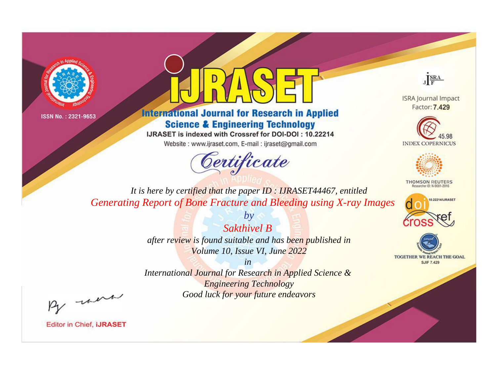



**International Journal for Research in Applied Science & Engineering Technology** 

IJRASET is indexed with Crossref for DOI-DOI: 10.22214

Website: www.ijraset.com, E-mail: ijraset@gmail.com



JERA

**ISRA Journal Impact** Factor: 7.429





**THOMSON REUTERS** 



TOGETHER WE REACH THE GOAL **SJIF 7.429** 

*It is here by certified that the paper ID : IJRASET44467, entitled Generating Report of Bone Fracture and Bleeding using X-ray Images*

> *Sakthivel B after review is found suitable and has been published in*

*by*

*Volume 10, Issue VI, June 2022 in* 

*International Journal for Research in Applied Science & Engineering Technology Good luck for your future endeavors*

By morn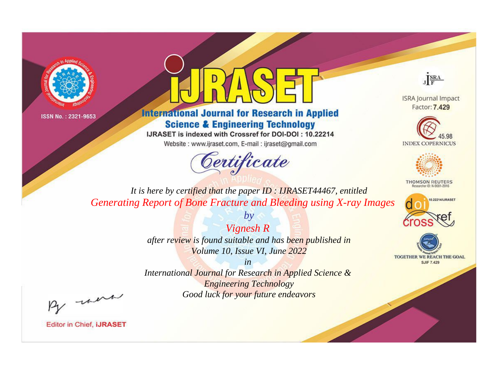



**International Journal for Research in Applied Science & Engineering Technology** 

IJRASET is indexed with Crossref for DOI-DOI: 10.22214

Website: www.ijraset.com, E-mail: ijraset@gmail.com





**ISRA Journal Impact** Factor: 7.429





**THOMSON REUTERS** 



TOGETHER WE REACH THE GOAL **SJIF 7.429** 

*It is here by certified that the paper ID : IJRASET44467, entitled Generating Report of Bone Fracture and Bleeding using X-ray Images*

> *Vignesh R after review is found suitable and has been published in Volume 10, Issue VI, June 2022*

*by*

*in* 

*International Journal for Research in Applied Science & Engineering Technology Good luck for your future endeavors*

By morn